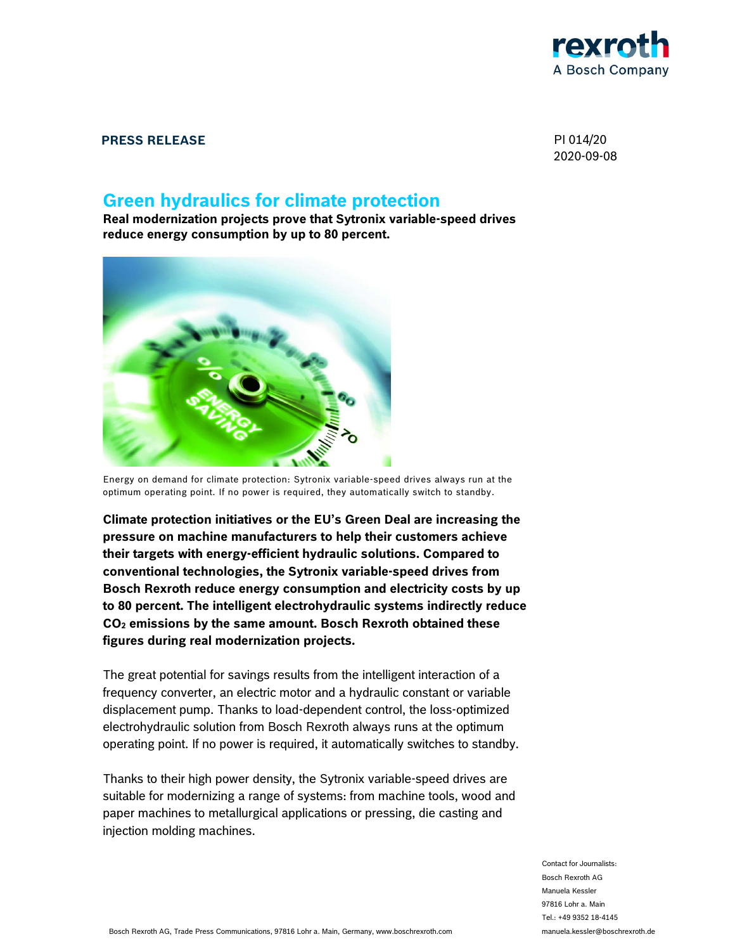

### **PRESS RELEASE** PI 014/20

2020-09-08

# **Green hydraulics for climate protection**

**Real modernization projects prove that Sytronix variable-speed drives reduce energy consumption by up to 80 percent.** 



Energy on demand for climate protection: Sytronix variable-speed drives always run at the optimum operating point. If no power is required, they automatically switch to standby.

**Climate protection initiatives or the EU's Green Deal are increasing the pressure on machine manufacturers to help their customers achieve their targets with energy-efficient hydraulic solutions. Compared to conventional technologies, the Sytronix variable-speed drives from Bosch Rexroth reduce energy consumption and electricity costs by up to 80 percent. The intelligent electrohydraulic systems indirectly reduce CO2 emissions by the same amount. Bosch Rexroth obtained these figures during real modernization projects.** 

The great potential for savings results from the intelligent interaction of a frequency converter, an electric motor and a hydraulic constant or variable displacement pump. Thanks to load-dependent control, the loss-optimized electrohydraulic solution from Bosch Rexroth always runs at the optimum operating point. If no power is required, it automatically switches to standby.

Thanks to their high power density, the Sytronix variable-speed drives are suitable for modernizing a range of systems: from machine tools, wood and paper machines to metallurgical applications or pressing, die casting and injection molding machines.

> Contact for Journalists: Bosch Rexroth AG Manuela Kessler 97816 Lohr a. Main Tel.: +49 9352 18-4145 manuela.kessler@boschrexroth.de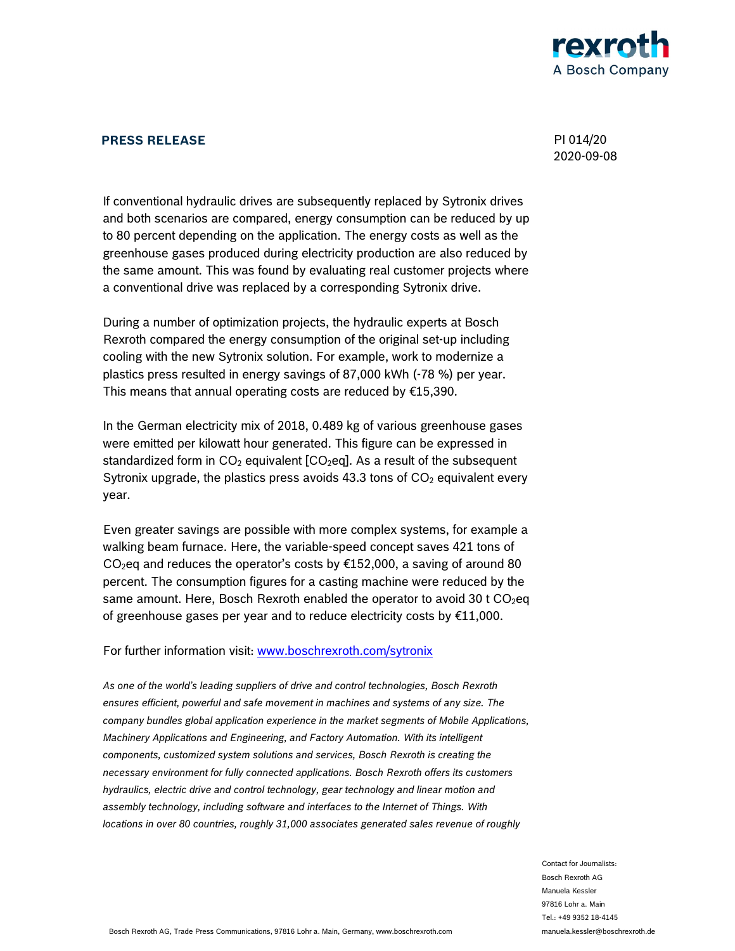

## **PRESS RELEASE** PI 014/20

2020-09-08

If conventional hydraulic drives are subsequently replaced by Sytronix drives and both scenarios are compared, energy consumption can be reduced by up to 80 percent depending on the application. The energy costs as well as the greenhouse gases produced during electricity production are also reduced by the same amount. This was found by evaluating real customer projects where a conventional drive was replaced by a corresponding Sytronix drive.

During a number of optimization projects, the hydraulic experts at Bosch Rexroth compared the energy consumption of the original set-up including cooling with the new Sytronix solution. For example, work to modernize a plastics press resulted in energy savings of 87,000 kWh (-78 %) per year. This means that annual operating costs are reduced by  $£15,390$ .

In the German electricity mix of 2018, 0.489 kg of various greenhouse gases were emitted per kilowatt hour generated. This figure can be expressed in standardized form in  $CO<sub>2</sub>$  equivalent [CO<sub>2</sub>eq]. As a result of the subsequent Sytronix upgrade, the plastics press avoids 43.3 tons of  $CO<sub>2</sub>$  equivalent every year.

Even greater savings are possible with more complex systems, for example a walking beam furnace. Here, the variable-speed concept saves 421 tons of CO<sub>2</sub>eq and reduces the operator's costs by  $£152,000$ , a saving of around 80 percent. The consumption figures for a casting machine were reduced by the same amount. Here, Bosch Rexroth enabled the operator to avoid 30 t  $CO<sub>2</sub>$ eq of greenhouse gases per year and to reduce electricity costs by €11,000.

#### For further information visit: www.boschrexroth.com/sytronix

*As one of the world's leading suppliers of drive and control technologies, Bosch Rexroth ensures efficient, powerful and safe movement in machines and systems of any size. The company bundles global application experience in the market segments of Mobile Applications, Machinery Applications and Engineering, and Factory Automation. With its intelligent components, customized system solutions and services, Bosch Rexroth is creating the necessary environment for fully connected applications. Bosch Rexroth offers its customers hydraulics, electric drive and control technology, gear technology and linear motion and assembly technology, including software and interfaces to the Internet of Things. With locations in over 80 countries, roughly 31,000 associates generated sales revenue of roughly* 

> Contact for Journalists: Bosch Rexroth AG Manuela Kessler 97816 Lohr a. Main Tel.: +49 9352 18-4145 manuela.kessler@boschrexroth.de